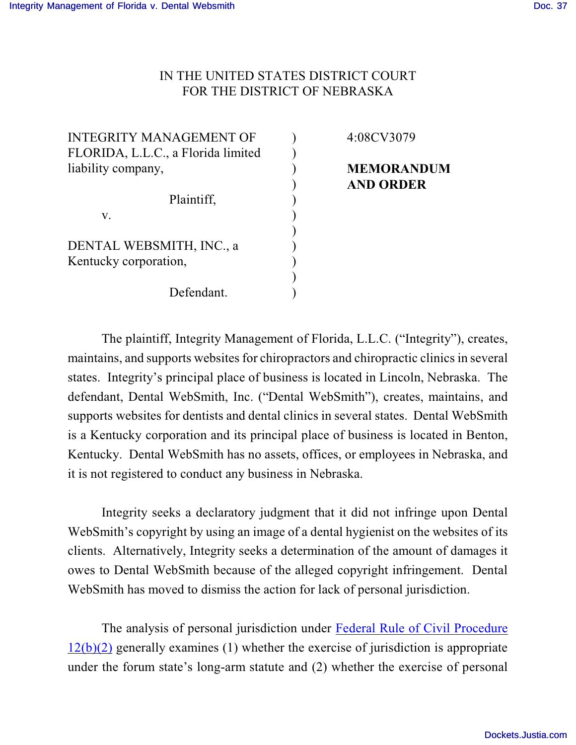## IN THE UNITED STATES DISTRICT COURT FOR THE DISTRICT OF NEBRASKA

| <b>INTEGRITY MANAGEMENT OF</b>     |  |
|------------------------------------|--|
| FLORIDA, L.L.C., a Florida limited |  |
| liability company,                 |  |
|                                    |  |
| Plaintiff,                         |  |
| V.                                 |  |
|                                    |  |
| DENTAL WEBSMITH, INC., a           |  |
| Kentucky corporation,              |  |
|                                    |  |
| Defendant.                         |  |

4:08CV3079

## **MEMORANDUM AND ORDER**

The plaintiff, Integrity Management of Florida, L.L.C. ("Integrity"), creates, maintains, and supports websites for chiropractors and chiropractic clinics in several states. Integrity's principal place of business is located in Lincoln, Nebraska. The defendant, Dental WebSmith, Inc. ("Dental WebSmith"), creates, maintains, and supports websites for dentists and dental clinics in several states. Dental WebSmith is a Kentucky corporation and its principal place of business is located in Benton, Kentucky. Dental WebSmith has no assets, offices, or employees in Nebraska, and it is not registered to conduct any business in Nebraska.

Integrity seeks a declaratory judgment that it did not infringe upon Dental WebSmith's copyright by using an image of a dental hygienist on the websites of its clients. Alternatively, Integrity seeks a determination of the amount of damages it owes to Dental WebSmith because of the alleged copyright infringement. Dental WebSmith has moved to dismiss the action for lack of personal jurisdiction.

The analysis of personal jurisdiction under [Federal Rule of Civil Procedure](http://www.westlaw.com/find/default.wl?fn=_top&rs=WLW8.09&rp=%2ffind%2fdefault.wl&mt=Westlaw&vr=2.0&sv=Split&cite=frcivp+12)  $12(b)(2)$  generally examines (1) whether the exercise of jurisdiction is appropriate under the forum state's long-arm statute and (2) whether the exercise of personal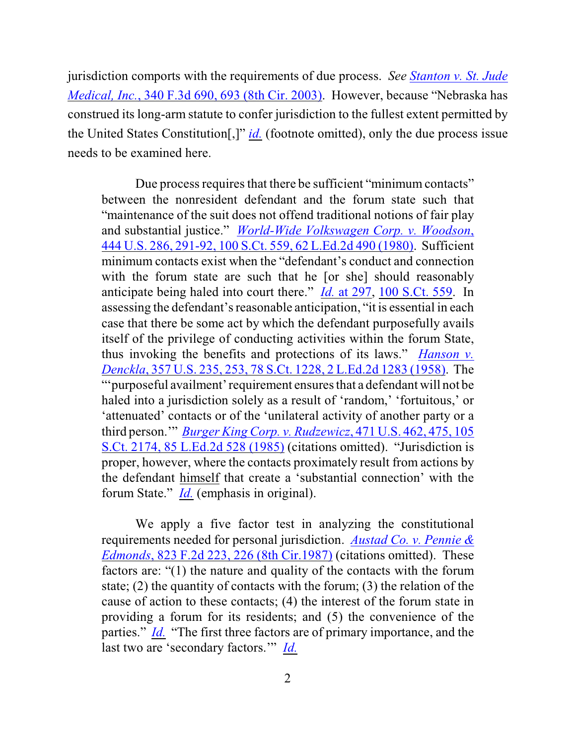jurisdiction comports with the requirements of due process. *See [Stanton v. St. Jude](http://www.westlaw.com/find/default.wl?rs=CLWP3.0&vr=2.0&cite=340+F.3d+693) Medical, Inc.*[, 340 F.3d 690, 693 \(8th Cir. 2003\)](http://www.westlaw.com/find/default.wl?rs=CLWP3.0&vr=2.0&cite=340+F.3d+693). However, because "Nebraska has construed its long-arm statute to confer jurisdiction to the fullest extent permitted by the United States Constitution[,]" *[id.](http://www.westlaw.com/find/default.wl?rs=CLWP3.0&vr=2.0&cite=340+F.3d+693)* (footnote omitted), only the due process issue needs to be examined here.

Due process requires that there be sufficient "minimum contacts" between the nonresident defendant and the forum state such that "maintenance of the suit does not offend traditional notions of fair play and substantial justice." *World-Wide [Volkswagen Corp. v. Woodson](http://www.westlaw.com/find/default.wl?rs=CLWP3.0&vr=2.0&cite=444+U.S.+286)*, [444 U.S. 286, 291-92, 100 S.Ct. 559, 62 L.Ed.2d 490 \(1980\)](http://www.westlaw.com/find/default.wl?rs=CLWP3.0&vr=2.0&cite=444+U.S.+286). Sufficient minimum contacts exist when the "defendant's conduct and connection with the forum state are such that he [or she] should reasonably anticipate being haled into court there." *Id.* [at 297](http://www.westlaw.com/find/default.wl?rs=CLWP3.0&vr=2.0&cite=444+U.S.+297), [100 S.Ct. 559](http://www.westlaw.com/find/default.wl?rs=CLWP3.0&vr=2.0&cite=100+S.Ct.+559). In assessing the defendant's reasonable anticipation, "it is essential in each case that there be some act by which the defendant purposefully avails itself of the privilege of conducting activities within the forum State, thus invoking the benefits and protections of its laws." *[Hanson v.](http://www.westlaw.com/find/default.wl?rs=CLWP3.0&vr=2.0&cite=357+U.S.+253) Denckla*, [357 U.S. 235, 253, 78 S.Ct. 1228, 2 L.Ed.2d 1283 \(1958\)](http://www.westlaw.com/find/default.wl?rs=CLWP3.0&vr=2.0&cite=357+U.S.+253). The "'purposeful availment' requirement ensures that a defendant will not be haled into a jurisdiction solely as a result of 'random,' 'fortuitous,' or 'attenuated' contacts or of the 'unilateral activity of another party or a third person.'" *[Burger King Corp. v. Rudzewicz](http://www.westlaw.com/find/default.wl?rs=CLWP3.0&vr=2.0&cite=471+U.S.+475)*, 471 U.S. 462, 475, 105 [S.Ct. 2174, 85 L.Ed.2d 528 \(1985\)](http://www.westlaw.com/find/default.wl?rs=CLWP3.0&vr=2.0&cite=471+U.S.+475) (citations omitted). "Jurisdiction is proper, however, where the contacts proximately result from actions by the defendant himself that create a 'substantial connection' with the forum State." *[Id.](http://www.westlaw.com/find/default.wl?rs=CLWP3.0&vr=2.0&cite=471+U.S.+475)* (emphasis in original).

We apply a five factor test in analyzing the constitutional requirements needed for personal jurisdiction. *Austad Co. [v. Pennie &](http://www.westlaw.com/find/default.wl?rs=CLWP3.0&vr=2.0&cite=823+F.2d+226) Edmonds*, 823 F.2d 223, [226 \(8th Cir.1987\)](http://www.westlaw.com/find/default.wl?rs=CLWP3.0&vr=2.0&cite=823+F.2d+226) (citations omitted). These factors are: "(1) the nature and quality of the contacts with the forum state; (2) the quantity of contacts with the forum; (3) the relation of the cause of action to these contacts; (4) the interest of the forum state in providing a forum for its residents; and (5) the convenience of the parties." *[Id.](http://www.westlaw.com/find/default.wl?rs=CLWP3.0&vr=2.0&cite=823+F.2d+226)* "The first three factors are of primary importance, and the last two are 'secondary factors.'" *[Id.](http://www.westlaw.com/find/default.wl?rs=CLWP3.0&vr=2.0&cite=823+F.2d+226)*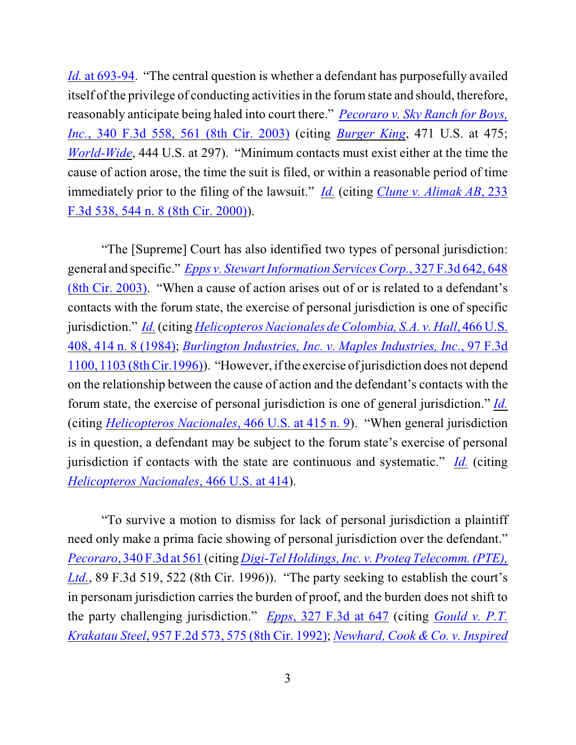*Id.* [at 693-94](http://www.westlaw.com/find/default.wl?rs=CLWP3.0&vr=2.0&cite=340+F.3d+693). "The central question is whether a defendant has purposefully availed itself of the privilege of conducting activities in the forum state and should, therefore, reasonably anticipate being haled into court there." *[Pecoraro v. Sky Ranch for Boys,](http://www.westlaw.com/find/default.wl?rs=CLWP3.0&vr=2.0&cite=340+F.3d+561) Inc.*[, 340 F.3d 558, 561 \(8th Cir. 2003\)](http://www.westlaw.com/find/default.wl?rs=CLWP3.0&vr=2.0&cite=340+F.3d+561) (citing *[Burger King](http://www.westlaw.com/find/default.wl?fn=_top&rs=WLW8.09&rp=%2ffind%2fdefault.wl&vr=2.0&cite=471+us+475)*, 471 U.S. at 475; *[World-Wide](http://www.westlaw.com/find/default.wl?fn=_top&rs=WLW8.09&rp=%2ffind%2fdefault.wl&vr=2.0&cite=471+us+475)*, 444 U.S. at 297). "Minimum contacts must exist either at the time the cause of action arose, the time the suit is filed, or within a reasonable period of time immediately prior to the filing of the lawsuit." *[Id.](http://www.westlaw.com/find/default.wl?rs=CLWP3.0&vr=2.0&cite=340+F.3d+561)* (citing *[Clune v. Alimak AB](http://www.westlaw.com/find/default.wl?rs=CLWP3.0&vr=2.0&cite=233+F.3d+544)*, 233 [F.3d 538, 544 n. 8 \(8th Cir. 2000\)](http://www.westlaw.com/find/default.wl?rs=CLWP3.0&vr=2.0&cite=233+F.3d+544)).

"The [Supreme] Court has also identified two types of personal jurisdiction: general and specific." *[Epps v. Stewart Information Services Corp.](http://www.westlaw.com/find/default.wl?rs=CLWP3.0&vr=2.0&cite=327+F.3d+648)*, 327 F.3d 642, 648 [\(8th Cir. 2003\)](http://www.westlaw.com/find/default.wl?rs=CLWP3.0&vr=2.0&cite=327+F.3d+648). "When a cause of action arises out of or is related to a defendant's contacts with the forum state, the exercise of personal jurisdiction is one of specific jurisdiction." *[Id.](http://www.westlaw.com/find/default.wl?rs=CLWP3.0&vr=2.0&cite=327+F.3d+648)* (citing *[Helicopteros Nacionales](http://www.westlaw.com/find/default.wl?rs=CLWP3.0&vr=2.0&cite=466+U.S.+414) de Colombia, S.A. v. Hall*, 466 U.S. [408, 414 n. 8 \(1984\)](http://www.westlaw.com/find/default.wl?rs=CLWP3.0&vr=2.0&cite=466+U.S.+414); *[Burlington Industries, Inc.](http://www.westlaw.com/find/default.wl?rs=CLWP3.0&vr=2.0&cite=97+F.3d+1103) v. Maples Industries, Inc.*, 97 F.3d [1100, 1103 \(8th Cir.1996\)](http://www.westlaw.com/find/default.wl?rs=CLWP3.0&vr=2.0&cite=97+F.3d+1103)). "However, ifthe exercise ofjurisdiction does not depend on the relationship between the cause of action and the defendant's contacts with the forum state, the exercise of personal jurisdiction is one of general jurisdiction." *[Id.](http://www.westlaw.com/find/default.wl?rs=CLWP3.0&vr=2.0&cite=97+F.3d+1103)* (citing *[Helicopteros Nacionales](http://www.westlaw.com/find/default.wl?rs=CLWP3.0&vr=2.0&cite=466+U.S.+415)*, 466 U.S. at 415 n. 9). "When general jurisdiction is in question, a defendant may be subject to the forum state's exercise of personal jurisdiction if contacts with the state are continuous and systematic." *[Id.](http://www.westlaw.com/find/default.wl?rs=CLWP3.0&vr=2.0&cite=97+F.3d+1103)* (citing *[Helicopteros Nacionales](http://www.westlaw.com/find/default.wl?rs=CLWP3.0&vr=2.0&cite=466+U.S.+414)*, 466 U.S. at 414).

"To survive a motion to dismiss for lack of personal jurisdiction a plaintiff need only make a prima facie showing of personal jurisdiction over the defendant." *Pecoraro*, [340 F.3d at 561](http://www.westlaw.com/find/default.wl?rs=CLWP3.0&vr=2.0&cite=340+F.3d+561) (citing *[Digi-Tel Holdings, Inc. v. Proteq Telecomm. \(PTE\),](http://www.westlaw.com/find/default.wl?fn=_top&rs=WLW8.09&rp=%2ffind%2fdefault.wl&vr=2.0&cite=89+f3d+522) [Ltd.](http://www.westlaw.com/find/default.wl?fn=_top&rs=WLW8.09&rp=%2ffind%2fdefault.wl&vr=2.0&cite=89+f3d+522)*, 89 F.3d 519, 522 (8th Cir. 1996)). "The party seeking to establish the court's in personam jurisdiction carries the burden of proof, and the burden does not shift to the party challenging jurisdiction." *Epps*[, 327 F.3d at 647](http://www.westlaw.com/find/default.wl?rs=CLWP3.0&vr=2.0&cite=327+F.3d+647) (citing *[Gould v. P.T.](http://www.westlaw.com/find/default.wl?rs=CLWP3.0&vr=2.0&cite=957+F.2d+575) Krakatau Steel*, 957 F.2d 573, [575 \(8th Cir. 1992\)](http://www.westlaw.com/find/default.wl?rs=CLWP3.0&vr=2.0&cite=957+F.2d+575); *Newhard, [Cook & Co. v. Inspired](http://www.westlaw.com/find/default.wl?rs=CLWP3.0&vr=2.0&cite=895+F.2d+1228)*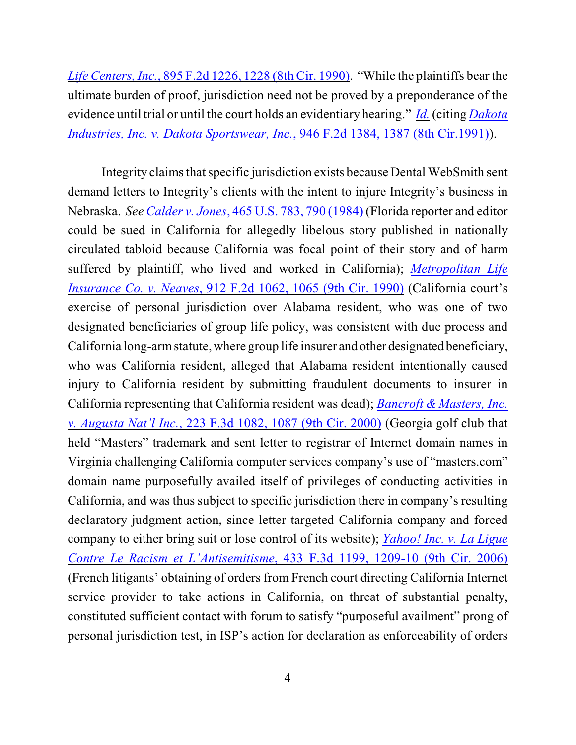*Life Centers, Inc.*, 895 F.2d 1226, 1228 (8th Cir. 1990). "While the plaintiffs bear the ultimate burden of proof, jurisdiction need not be proved by a preponderance of the evidence until trial or until the court holds an evidentiary hearing." *[Id.](http://www.westlaw.com/find/default.wl?rs=CLWP3.0&vr=2.0&cite=327+F.3d+647)* (citing *[Dakota](http://www.westlaw.com/find/default.wl?rs=CLWP3.0&vr=2.0&cite=946+F.2d+1387) [Industries, Inc. v. Dakota Sportswear, Inc.](http://www.westlaw.com/find/default.wl?rs=CLWP3.0&vr=2.0&cite=946+F.2d+1387)*, 946 F.2d 1384, 1387 (8th Cir.1991)).

Integrity claims that specific jurisdiction exists because Dental WebSmith sent demand letters to Integrity's clients with the intent to injure Integrity's business in Nebraska. *See Calder v. Jones*[, 465 U.S. 783, 790 \(1984\)](http://www.westlaw.com/find/default.wl?rs=CLWP3.0&vr=2.0&cite=465+U.S.+790) (Florida reporter and editor could be sued in California for allegedly libelous story published in nationally circulated tabloid because California was focal point of their story and of harm suffered by plaintiff, who lived and worked in California); *[Metropolitan Life](http://www.westlaw.com/find/default.wl?rs=CLWP3.0&vr=2.0&cite=912+F.2d+1065) Insurance Co. v. Neaves*[, 912 F.2d 1062, 1065 \(9th Cir. 1990\)](http://www.westlaw.com/find/default.wl?rs=CLWP3.0&vr=2.0&cite=912+F.2d+1065) (California court's exercise of personal jurisdiction over Alabama resident, who was one of two designated beneficiaries of group life policy, was consistent with due process and California long-arm statute, where group life insurer and other designated beneficiary, who was California resident, alleged that Alabama resident intentionally caused injury to California resident by submitting fraudulent documents to insurer in California representing that California resident was dead); *[Bancroft & Masters, Inc.](http://www.westlaw.com/find/default.wl?rs=CLWP3.0&vr=2.0&cite=223+F.3d+1087) v. Augusta Nat'l Inc.*[, 223 F.3d 1082, 1087 \(9th Cir. 2000\)](http://www.westlaw.com/find/default.wl?rs=CLWP3.0&vr=2.0&cite=223+F.3d+1087) (Georgia golf club that held "Masters" trademark and sent letter to registrar of Internet domain names in Virginia challenging California computer services company's use of "masters.com" domain name purposefully availed itself of privileges of conducting activities in California, and was thus subject to specific jurisdiction there in company's resulting declaratory judgment action, since letter targeted California company and forced company to either bring suit or lose control of its website); *[Yahoo! Inc. v.](http://www.westlaw.com/find/default.wl?rs=CLWP3.0&vr=2.0&cite=433+F.3d+1209) La Ligue Contre Le Racism et L'Antisemitisme*[, 433 F.3d 1199, 1209-10 \(9th Cir. 2006\)](http://www.westlaw.com/find/default.wl?rs=CLWP3.0&vr=2.0&cite=433+F.3d+1209) (French litigants' obtaining of orders from French court directing California Internet service provider to take actions in California, on threat of substantial penalty, constituted sufficient contact with forum to satisfy "purposeful availment" prong of personal jurisdiction test, in ISP's action for declaration as enforceability of orders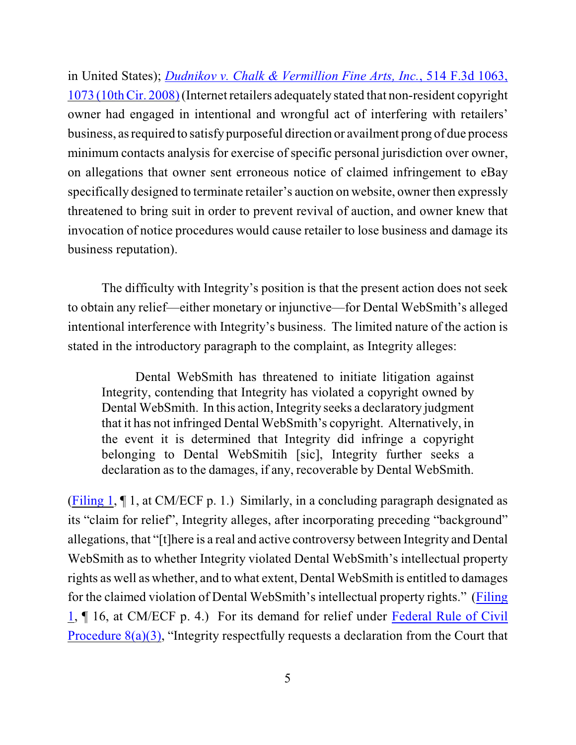in United States); *[Dudnikov v. Chalk & Vermillion Fine Arts, Inc.](http://www.westlaw.com/find/default.wl?rs=CLWP3.0&vr=2.0&cite=514+F.3d+1073)*, 514 F.3d 1063, 1073 [\(10thCir. 2008\)](http://www.westlaw.com/find/default.wl?rs=CLWP3.0&vr=2.0&cite=514+F.3d+1073) (Internet retailers adequately stated that non-resident copyright owner had engaged in intentional and wrongful act of interfering with retailers' business, as required to satisfy purposeful direction or availment prong of due process minimum contacts analysis for exercise of specific personal jurisdiction over owner, on allegations that owner sent erroneous notice of claimed infringement to eBay specifically designed to terminate retailer's auction on website, owner then expressly threatened to bring suit in order to prevent revival of auction, and owner knew that invocation of notice procedures would cause retailer to lose business and damage its business reputation).

The difficulty with Integrity's position is that the present action does not seek to obtain any relief—either monetary or injunctive—for Dental WebSmith's alleged intentional interference with Integrity's business. The limited nature of the action is stated in the introductory paragraph to the complaint, as Integrity alleges:

Dental WebSmith has threatened to initiate litigation against Integrity, contending that Integrity has violated a copyright owned by Dental WebSmith. In this action, Integrity seeks a declaratory judgment that it has not infringed Dental WebSmith's copyright. Alternatively, in the event it is determined that Integrity did infringe a copyright belonging to Dental WebSmitih [sic], Integrity further seeks a declaration as to the damages, if any, recoverable by Dental WebSmith.

[\(Filing 1](https://ecf.ned.uscourts.gov/doc1/11301426772), ¶ 1, at CM/ECF p. 1.) Similarly, in a concluding paragraph designated as its "claim for relief", Integrity alleges, after incorporating preceding "background" allegations, that "[t]here is a real and active controversy between Integrity and Dental WebSmith as to whether Integrity violated Dental WebSmith's intellectual property rights as well as whether, and to what extent, Dental WebSmith is entitled to damages for the claimed violation of Dental WebSmith's intellectual property rights." [\(Filing](https://ecf.ned.uscourts.gov/doc1/11301426772) [1](https://ecf.ned.uscourts.gov/doc1/11301426772), ¶ 16, at CM/ECF p. 4.) For its demand for relief under [Federal Rule of Civil](http://www.westlaw.com/find/default.wl?fn=_top&rs=WLW8.09&rp=%2ffind%2fdefault.wl&vr=2.0&cite=frcivp+8) Procedure  $8(a)(3)$ , "Integrity respectfully requests a declaration from the Court that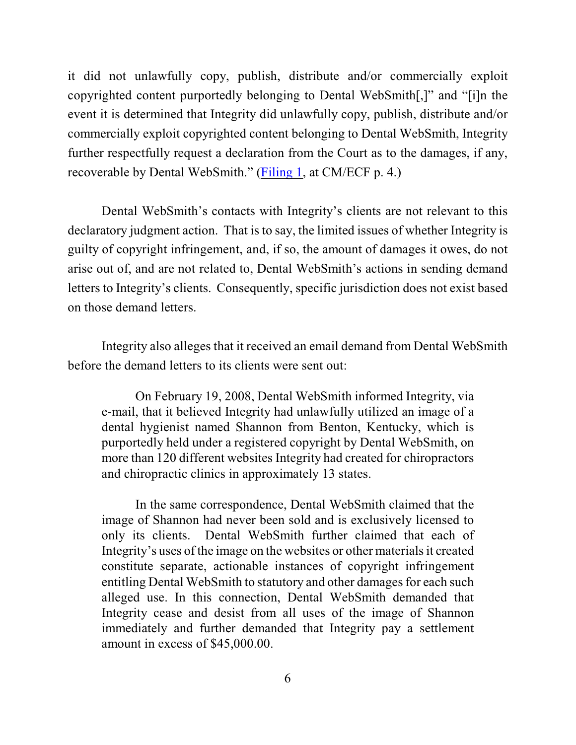it did not unlawfully copy, publish, distribute and/or commercially exploit copyrighted content purportedly belonging to Dental WebSmith[,]" and "[i]n the event it is determined that Integrity did unlawfully copy, publish, distribute and/or commercially exploit copyrighted content belonging to Dental WebSmith, Integrity further respectfully request a declaration from the Court as to the damages, if any, recoverable by Dental WebSmith." [\(Filing 1](https://ecf.ned.uscourts.gov/doc1/11301426772), at CM/ECF p. 4.)

Dental WebSmith's contacts with Integrity's clients are not relevant to this declaratory judgment action. That is to say, the limited issues of whether Integrity is guilty of copyright infringement, and, if so, the amount of damages it owes, do not arise out of, and are not related to, Dental WebSmith's actions in sending demand letters to Integrity's clients. Consequently, specific jurisdiction does not exist based on those demand letters.

Integrity also alleges that it received an email demand from Dental WebSmith before the demand letters to its clients were sent out:

On February 19, 2008, Dental WebSmith informed Integrity, via e-mail, that it believed Integrity had unlawfully utilized an image of a dental hygienist named Shannon from Benton, Kentucky, which is purportedly held under a registered copyright by Dental WebSmith, on more than 120 different websites Integrity had created for chiropractors and chiropractic clinics in approximately 13 states.

In the same correspondence, Dental WebSmith claimed that the image of Shannon had never been sold and is exclusively licensed to only its clients. Dental WebSmith further claimed that each of Integrity's uses of the image on the websites or other materials it created constitute separate, actionable instances of copyright infringement entitling Dental WebSmith to statutory and other damages for each such alleged use. In this connection, Dental WebSmith demanded that Integrity cease and desist from all uses of the image of Shannon immediately and further demanded that Integrity pay a settlement amount in excess of \$45,000.00.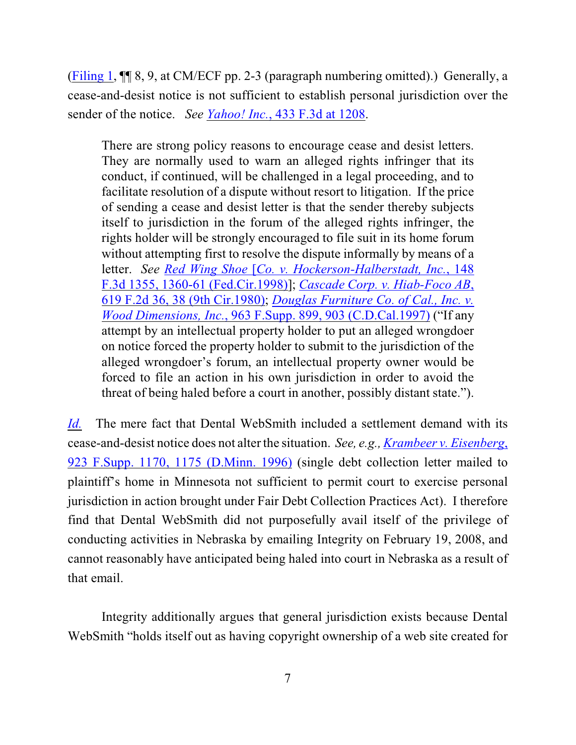[\(Filing 1](https://ecf.ned.uscourts.gov/doc1/11301426772), ¶¶ 8, 9, at CM/ECF pp. 2-3 (paragraph numbering omitted).) Generally, a cease-and-desist notice is not sufficient to establish personal jurisdiction over the sender of the notice. *See Yahoo! Inc.*[, 433 F.3d at 1208](http://www.westlaw.com/find/default.wl?rs=CLWP3.0&vr=2.0&cite=433+F.3d+1208).

There are strong policy reasons to encourage cease and desist letters. They are normally used to warn an alleged rights infringer that its conduct, if continued, will be challenged in a legal proceeding, and to facilitate resolution of a dispute without resort to litigation. If the price of sending a cease and desist letter is that the sender thereby subjects itself to jurisdiction in the forum of the alleged rights infringer, the rights holder will be strongly encouraged to file suit in its home forum without attempting first to resolve the dispute informally by means of a letter. *See Red Wing Shoe* [*[Co. v. Hockerson-Halberstadt, Inc.](http://www.westlaw.com/find/default.wl?rs=CLWP3.0&vr=2.0&cite=148+F.3d+1360)*, 148 F.3d 1355, [1360-61 \(Fed.Cir.1998\)](http://www.westlaw.com/find/default.wl?rs=CLWP3.0&vr=2.0&cite=148+F.3d+1360)]; *[Cascade Corp. v. Hiab-Foco AB](http://www.westlaw.com/find/default.wl?rs=CLWP3.0&vr=2.0&cite=619+F.2d+36)*, [619 F.2d 36, 38 \(9th Cir.1980\)](http://www.westlaw.com/find/default.wl?rs=CLWP3.0&vr=2.0&cite=619+F.2d+36); *[Douglas Furniture Co. of Cal., Inc. v.](http://www.westlaw.com/find/default.wl?rs=CLWP3.0&vr=2.0&cite=963+F.Supp.+899) [Wood Dimensions, Inc.](http://www.westlaw.com/find/default.wl?rs=CLWP3.0&vr=2.0&cite=963+F.Supp.+899)*, 963 F.Supp. 899, 903 (C.D.Cal.1997) ("If any attempt by an intellectual property holder to put an alleged wrongdoer on notice forced the property holder to submit to the jurisdiction of the alleged wrongdoer's forum, an intellectual property owner would be forced to file an action in his own jurisdiction in order to avoid the threat of being haled before a court in another, possibly distant state.").

*[Id.](http://www.westlaw.com/find/default.wl?rs=CLWP3.0&vr=2.0&cite=433+F.3d+1208)* The mere fact that Dental WebSmith included a settlement demand with its cease-and-desist notice does not alter the situation. *See, e.g., [Krambeer v. Eisenberg](http://www.westlaw.com/find/default.wl?rs=CLWP3.0&vr=2.0&cite=923+F.Supp.+1175)*, [923 F.Supp. 1170, 1175 \(D.Minn. 1996\)](http://www.westlaw.com/find/default.wl?rs=CLWP3.0&vr=2.0&cite=923+F.Supp.+1175) (single debt collection letter mailed to plaintiff's home in Minnesota not sufficient to permit court to exercise personal jurisdiction in action brought under Fair Debt Collection Practices Act). I therefore find that Dental WebSmith did not purposefully avail itself of the privilege of conducting activities in Nebraska by emailing Integrity on February 19, 2008, and cannot reasonably have anticipated being haled into court in Nebraska as a result of that email.

Integrity additionally argues that general jurisdiction exists because Dental WebSmith "holds itself out as having copyright ownership of a web site created for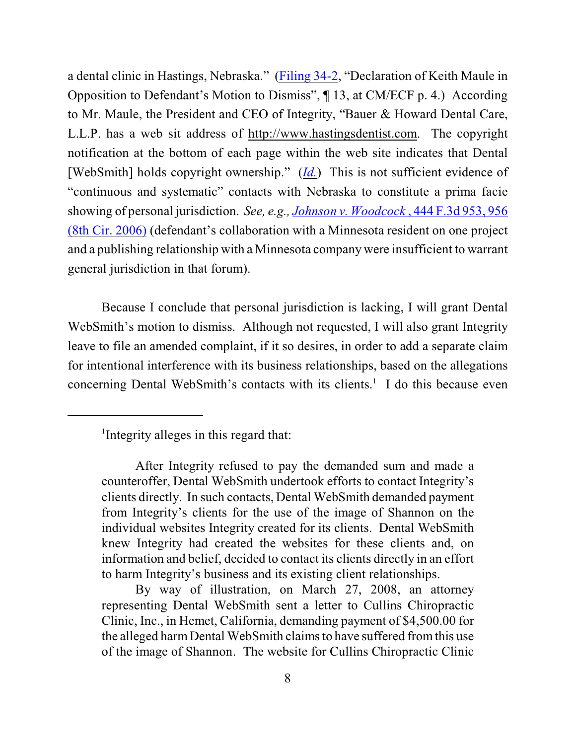a dental clinic in Hastings, Nebraska." [\(Filing 34-2](https://ecf.ned.uscourts.gov/doc1/11311516152), "Declaration of Keith Maule in Opposition to Defendant's Motion to Dismiss", ¶ 13, at CM/ECF p. 4.) According to Mr. Maule, the President and CEO of Integrity, "Bauer & Howard Dental Care, L.L.P. has a web sit address of http://www.hastingsdentist.com. The copyright notification at the bottom of each page within the web site indicates that Dental [WebSmith] holds copyright ownership." (*[Id.](http://www.westlaw.com/find/default.wl?rs=CLWP3.0&vr=2.0&cite=923+F.Supp.+1170)*) This is not sufficient evidence of "continuous and systematic" contacts with Nebraska to constitute a prima facie showing of personal jurisdiction. *See, e.g., [Johnson v. Woodcock](http://www.westlaw.com/find/default.wl?rs=CLWP3.0&vr=2.0&cite=444+F.3d+956)* , 444 F.3d 953, 956 [\(8th Cir. 2006\)](http://www.westlaw.com/find/default.wl?rs=CLWP3.0&vr=2.0&cite=444+F.3d+956) (defendant's collaboration with a Minnesota resident on one project and a publishing relationship with a Minnesota company were insufficient to warrant general jurisdiction in that forum).

Because I conclude that personal jurisdiction is lacking, I will grant Dental WebSmith's motion to dismiss. Although not requested, I will also grant Integrity leave to file an amended complaint, if it so desires, in order to add a separate claim for intentional interference with its business relationships, based on the allegations concerning Dental WebSmith's contacts with its clients.<sup>1</sup> I do this because even

<sup>&</sup>lt;sup>1</sup>Integrity alleges in this regard that:

After Integrity refused to pay the demanded sum and made a counteroffer, Dental WebSmith undertook efforts to contact Integrity's clients directly. In such contacts, Dental WebSmith demanded payment from Integrity's clients for the use of the image of Shannon on the individual websites Integrity created for its clients. Dental WebSmith knew Integrity had created the websites for these clients and, on information and belief, decided to contact its clients directly in an effort to harm Integrity's business and its existing client relationships.

By way of illustration, on March 27, 2008, an attorney representing Dental WebSmith sent a letter to Cullins Chiropractic Clinic, Inc., in Hemet, California, demanding payment of \$4,500.00 for the alleged harm Dental WebSmith claims to have suffered from this use of the image of Shannon. The website for Cullins Chiropractic Clinic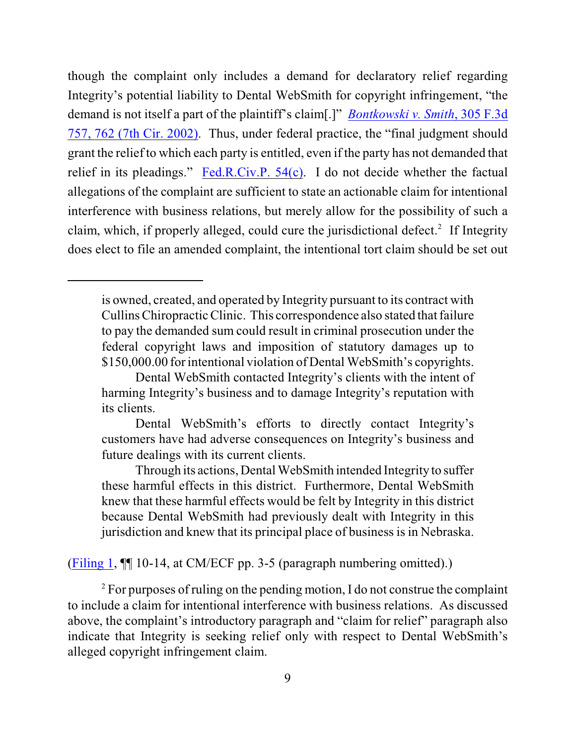though the complaint only includes a demand for declaratory relief regarding Integrity's potential liability to Dental WebSmith for copyright infringement, "the demand is not itself a part of the plaintiff's claim[.]" *[Bontkowski v. Smith](http://www.westlaw.com/find/default.wl?rs=CLWP3.0&vr=2.0&cite=305+F.3d+762)*, 305 F.3d [757, 762 \(7th Cir. 2002\)](http://www.westlaw.com/find/default.wl?rs=CLWP3.0&vr=2.0&cite=305+F.3d+762). Thus, under federal practice, the "final judgment should grant the relief to which each party is entitled, even if the party has not demanded that relief in its pleadings." [Fed.R.Civ.P. 54\(c\)](http://www.westlaw.com/find/default.wl?rs=CLWP3.0&vr=2.0&cite=FRCP+54%28c%29). I do not decide whether the factual allegations of the complaint are sufficient to state an actionable claim for intentional interference with business relations, but merely allow for the possibility of such a claim, which, if properly alleged, could cure the jurisdictional defect.<sup>2</sup> If Integrity does elect to file an amended complaint, the intentional tort claim should be set out

[\(Filing 1](https://ecf.ned.uscourts.gov/doc1/11301426772), ¶¶ 10-14, at CM/ECF pp. 3-5 (paragraph numbering omitted).)

 $\degree$  For purposes of ruling on the pending motion, I do not construe the complaint to include a claim for intentional interference with business relations. As discussed above, the complaint's introductory paragraph and "claim for relief" paragraph also indicate that Integrity is seeking relief only with respect to Dental WebSmith's alleged copyright infringement claim.

is owned, created, and operated by Integrity pursuant to its contract with Cullins Chiropractic Clinic. This correspondence also stated that failure to pay the demanded sum could result in criminal prosecution under the federal copyright laws and imposition of statutory damages up to \$150,000.00 for intentional violation of Dental WebSmith's copyrights.

Dental WebSmith contacted Integrity's clients with the intent of harming Integrity's business and to damage Integrity's reputation with its clients.

Dental WebSmith's efforts to directly contact Integrity's customers have had adverse consequences on Integrity's business and future dealings with its current clients.

Through its actions, Dental WebSmith intended Integrity to suffer these harmful effects in this district. Furthermore, Dental WebSmith knew that these harmful effects would be felt by Integrity in this district because Dental WebSmith had previously dealt with Integrity in this jurisdiction and knew that its principal place of business is in Nebraska.